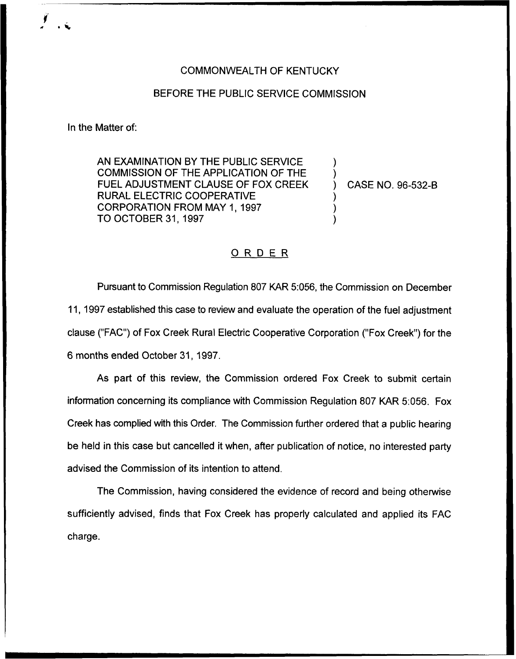## COMMONWEALTH OF KENTUCKY

## BEFORE THE PUBLIC SERVICE COMMISSION

In the Matter of:

AN EXAMINATION BY THE PUBLIC SERVICE COMMISSION OF THE APPLICATION OF THE FUEL ADJUSTMENT CLAUSE OF FOX CREEK RURAL ELECTRIC COOPERATIVE CORPORATION FROM MAY 1, 1997 TO OCTOBER 31, 1997

) CASE NO. 96-532-B

) )

) ) )

## ORDER

Pursuant to Commission Regulation 807 KAR 5:056, the Commission on December 11, 1997established this case to review and evaluate the operation of the fuel adjustment clause ("FAC") of Fox Creek Rural Electric Cooperative Corporation ("Fox Creek") for th $\epsilon$ 6 months ended October 31, 1997.

As part of this review, the Commission ordered Fox Creek to submit certain information concerning its compliance with Commission Regulation 807 KAR 5:056. Fox Creek has complied with this Order. The Commission further ordered that a public hearing be held in this case but cancelled it when, after publication of notice, no interested party advised the Commission of its intention to attend.

The Commission, having considered the evidence of record and being otherwise sufficiently advised, finds that Fox Creek has properly calculated and applied its FAC charge.